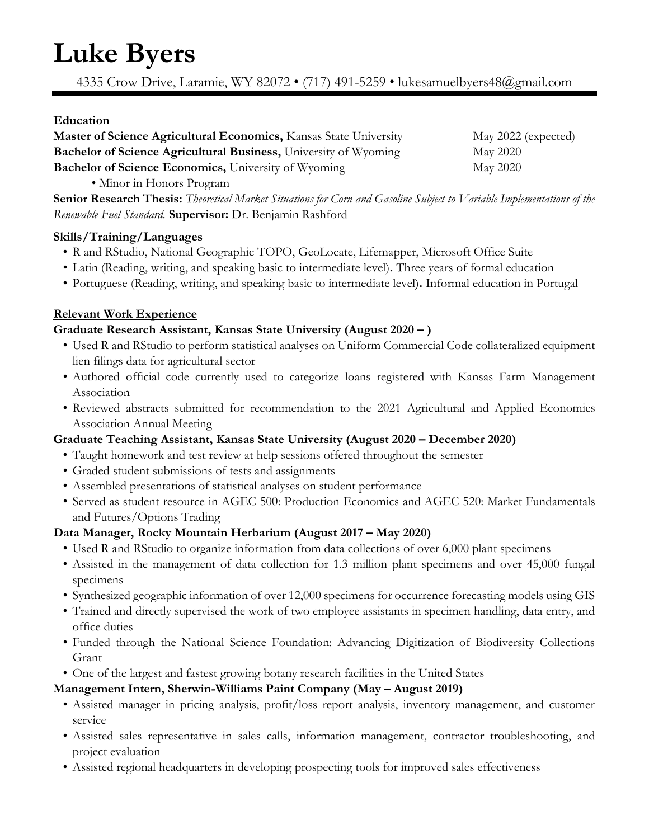# **Luke Byers**

4335 Crow Drive, Laramie, WY 82072 • (717) 491-5259 • lukesamuelbyers48@gmail.com

#### **Education**

| Master of Science Agricultural Economics, Kansas State University | May 2022 (expected) |
|-------------------------------------------------------------------|---------------------|
| Bachelor of Science Agricultural Business, University of Wyoming  | May 2020            |
| <b>Bachelor of Science Economics, University of Wyoming</b>       | May 2020            |

• Minor in Honors Program

**Senior Research Thesis:** *Theoretical Market Situations for Corn and Gasoline Subject to Variable Implementations of the Renewable Fuel Standard.* **Supervisor:** Dr. Benjamin Rashford

#### **Skills/Training/Languages**

- R and RStudio, National Geographic TOPO, GeoLocate, Lifemapper, Microsoft Office Suite
- Latin (Reading, writing, and speaking basic to intermediate level)**.** Three years of formal education
- Portuguese (Reading, writing, and speaking basic to intermediate level)**.** Informal education in Portugal

#### **Relevant Work Experience**

#### **Graduate Research Assistant, Kansas State University (August 2020 – )**

- Used R and RStudio to perform statistical analyses on Uniform Commercial Code collateralized equipment lien filings data for agricultural sector
- Authored official code currently used to categorize loans registered with Kansas Farm Management Association
- Reviewed abstracts submitted for recommendation to the 2021 Agricultural and Applied Economics Association Annual Meeting

#### **Graduate Teaching Assistant, Kansas State University (August 2020 – December 2020)**

- Taught homework and test review at help sessions offered throughout the semester
- Graded student submissions of tests and assignments
- Assembled presentations of statistical analyses on student performance
- Served as student resource in AGEC 500: Production Economics and AGEC 520: Market Fundamentals and Futures/Options Trading

#### **Data Manager, Rocky Mountain Herbarium (August 2017 – May 2020)**

- Used R and RStudio to organize information from data collections of over 6,000 plant specimens
- Assisted in the management of data collection for 1.3 million plant specimens and over 45,000 fungal specimens
- Synthesized geographic information of over 12,000 specimens for occurrence forecasting models using GIS
- Trained and directly supervised the work of two employee assistants in specimen handling, data entry, and office duties
- Funded through the National Science Foundation: Advancing Digitization of Biodiversity Collections Grant
- One of the largest and fastest growing botany research facilities in the United States

#### **Management Intern, Sherwin-Williams Paint Company (May – August 2019)**

- Assisted manager in pricing analysis, profit/loss report analysis, inventory management, and customer service
- Assisted sales representative in sales calls, information management, contractor troubleshooting, and project evaluation
- Assisted regional headquarters in developing prospecting tools for improved sales effectiveness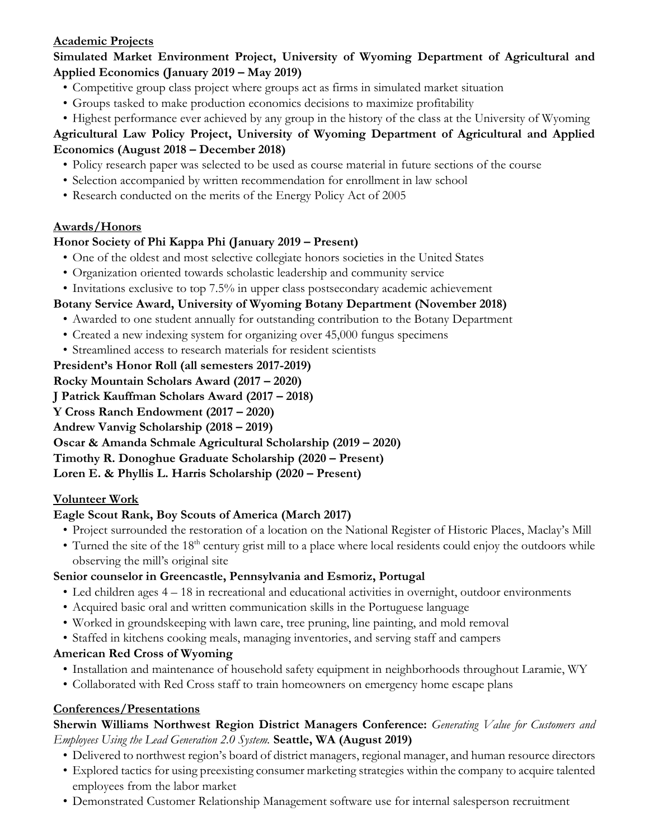#### **Academic Projects**

## **Simulated Market Environment Project, University of Wyoming Department of Agricultural and Applied Economics (January 2019 – May 2019)**

- Competitive group class project where groups act as firms in simulated market situation
- Groups tasked to make production economics decisions to maximize profitability
- Highest performance ever achieved by any group in the history of the class at the University of Wyoming

## **Agricultural Law Policy Project, University of Wyoming Department of Agricultural and Applied Economics (August 2018 – December 2018)**

- Policy research paper was selected to be used as course material in future sections of the course
- Selection accompanied by written recommendation for enrollment in law school
- Research conducted on the merits of the Energy Policy Act of 2005

## **Awards/Honors**

## **Honor Society of Phi Kappa Phi (January 2019 – Present)**

- One of the oldest and most selective collegiate honors societies in the United States
- Organization oriented towards scholastic leadership and community service
- Invitations exclusive to top 7.5% in upper class postsecondary academic achievement

## **Botany Service Award, University of Wyoming Botany Department (November 2018)**

- Awarded to one student annually for outstanding contribution to the Botany Department
- Created a new indexing system for organizing over 45,000 fungus specimens
- Streamlined access to research materials for resident scientists

## **President's Honor Roll (all semesters 2017-2019)**

#### **Rocky Mountain Scholars Award (2017 – 2020)**

**J Patrick Kauffman Scholars Award (2017 – 2018)**

**Y Cross Ranch Endowment (2017 – 2020)**

## **Andrew Vanvig Scholarship (2018 – 2019)**

- **Oscar & Amanda Schmale Agricultural Scholarship (2019 – 2020)**
- **Timothy R. Donoghue Graduate Scholarship (2020 – Present)**

**Loren E. & Phyllis L. Harris Scholarship (2020 – Present)**

## **Volunteer Work**

## **Eagle Scout Rank, Boy Scouts of America (March 2017)**

- Project surrounded the restoration of a location on the National Register of Historic Places, Maclay's Mill
- Turned the site of the  $18<sup>th</sup>$  century grist mill to a place where local residents could enjoy the outdoors while observing the mill's original site

## **Senior counselor in Greencastle, Pennsylvania and Esmoriz, Portugal**

- Led children ages  $4 18$  in recreational and educational activities in overnight, outdoor environments
- Acquired basic oral and written communication skills in the Portuguese language
- Worked in groundskeeping with lawn care, tree pruning, line painting, and mold removal
- Staffed in kitchens cooking meals, managing inventories, and serving staff and campers

## **American Red Cross of Wyoming**

- Installation and maintenance of household safety equipment in neighborhoods throughout Laramie, WY
- Collaborated with Red Cross staff to train homeowners on emergency home escape plans

## **Conferences/Presentations**

### **Sherwin Williams Northwest Region District Managers Conference:** *Generating Value for Customers and Employees Using the Lead Generation 2.0 System.* **Seattle, WA (August 2019)**

- Delivered to northwest region's board of district managers, regional manager, and human resource directors
- Explored tactics for using preexisting consumer marketing strategies within the company to acquire talented employees from the labor market
- Demonstrated Customer Relationship Management software use for internal salesperson recruitment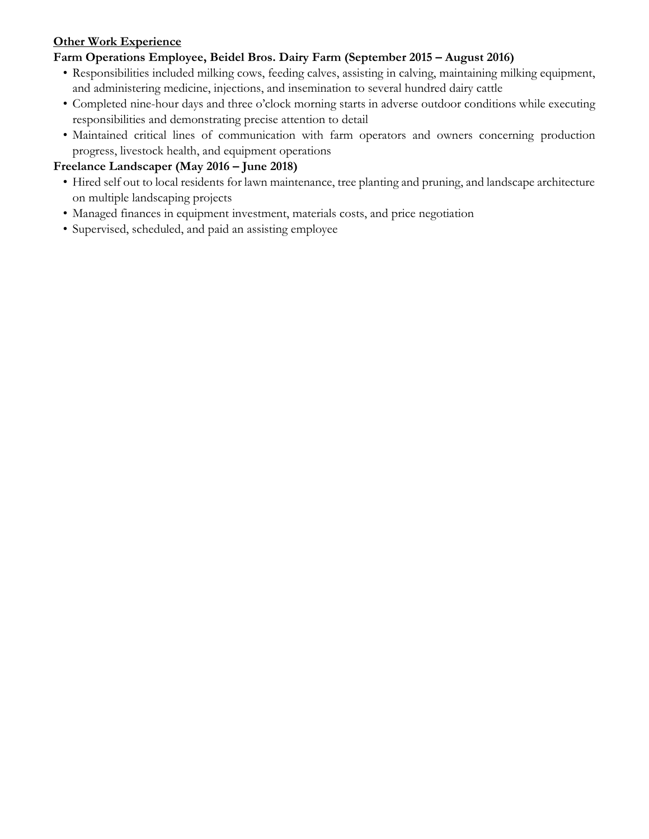### **Other Work Experience**

#### **Farm Operations Employee, Beidel Bros. Dairy Farm (September 2015 – August 2016)**

- Responsibilities included milking cows, feeding calves, assisting in calving, maintaining milking equipment, and administering medicine, injections, and insemination to several hundred dairy cattle
- Completed nine-hour days and three o'clock morning starts in adverse outdoor conditions while executing responsibilities and demonstrating precise attention to detail
- Maintained critical lines of communication with farm operators and owners concerning production progress, livestock health, and equipment operations

## **Freelance Landscaper (May 2016 – June 2018)**

- Hired self out to local residents for lawn maintenance, tree planting and pruning, and landscape architecture on multiple landscaping projects
- Managed finances in equipment investment, materials costs, and price negotiation
- Supervised, scheduled, and paid an assisting employee